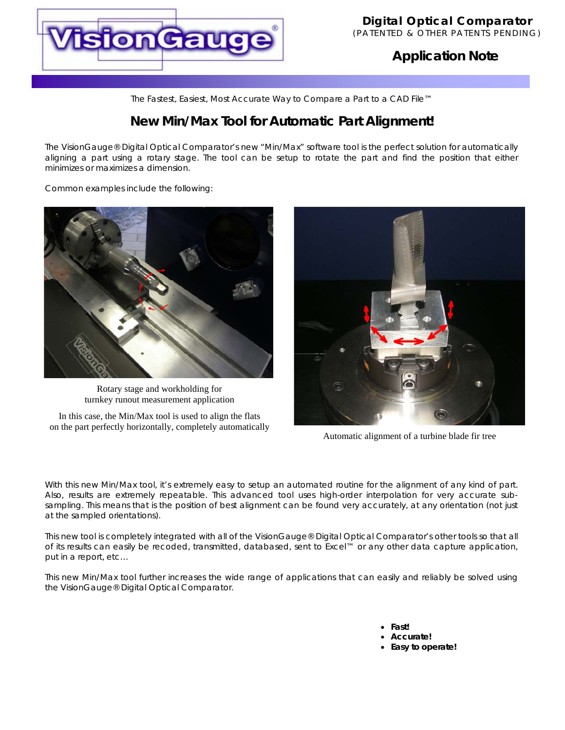

# **Application Note**

*The Fastest, Easiest, Most Accurate Way to Compare a Part to a CAD File™*

# **New Min/Max Tool for Automatic Part Alignment!**

The VisionGauge® Digital Optical Comparator's new "Min/Max" software tool is the perfect solution for automatically aligning a part using a rotary stage. The tool can be setup to rotate the part and find the position that either minimizes or maximizes a dimension.

Common examples include the following:



Rotary stage and workholding for turnkey runout measurement application

In this case, the Min/Max tool is used to align the flats on the part perfectly horizontally, completely automatically



Automatic alignment of a turbine blade fir tree

With this new Min/Max tool, it's extremely easy to setup an automated routine for the alignment of any kind of part. Also, results are extremely repeatable. This advanced tool uses high-order interpolation for very accurate subsampling. This means that is the position of best alignment can be found very accurately, at any orientation (not just at the sampled orientations).

This new tool is completely integrated with all of the VisionGauge® Digital Optical Comparator's other tools so that all of its results can easily be recoded, transmitted, databased, sent to Excel™ or any other data capture application, put in a report, etc…

This new Min/Max tool further increases the wide range of applications that can easily and reliably be solved using the VisionGauge® Digital Optical Comparator.

> • **Fast!**  • **Accurate!**  • **Easy to operate!**